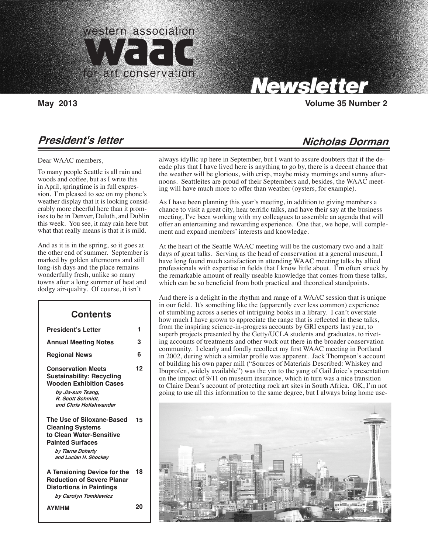

Carolyn Tallent, Editor

# Newsletter

#### **May 2013 Volume 35 Number 2**

### **President's letter**

Dear WAAC members,

To many people Seattle is all rain and woods and coffee, but as I write this in April, springtime is in full expression. I'm pleased to see on my phone's weather display that it is looking considerably more cheerful here than it promises to be in Denver, Duluth, and Dublin this week. You see, it may rain here but what that really means is that it is mild.

And as it is in the spring, so it goes at the other end of summer. September is marked by golden afternoons and still long-ish days and the place remains wonderfully fresh, unlike so many towns after a long summer of heat and dodgy air-quality. Of course, it isn't

| <b>Contents</b>                                                                                                                                                     |    |
|---------------------------------------------------------------------------------------------------------------------------------------------------------------------|----|
| <b>President's Letter</b>                                                                                                                                           | 1  |
| <b>Annual Meeting Notes</b>                                                                                                                                         | з  |
| <b>Regional News</b>                                                                                                                                                | 6  |
| <b>Conservation Meets</b><br><b>Sustainability: Recycling</b><br><b>Wooden Exhibition Cases</b><br>by Jia-sun Tsang,<br>R. Scott Schmidt.<br>and Chris Hollshwander | 12 |
| The Use of Siloxane-Based<br><b>Cleaning Systems</b><br>to Clean Water-Sensitive<br><b>Painted Surfaces</b><br>by Tiarna Doherty<br>and Lucian H. Shockey           | 15 |
| A Tensioning Device for the<br><b>Reduction of Severe Planar</b><br><b>Distortions in Paintings</b><br>by Carolyn Tomkiewicz                                        | 18 |
| <b>AYMHM</b>                                                                                                                                                        | 20 |

## **Nicholas Dorman**

always idyllic up here in September, but I want to assure doubters that if the decade plus that I have lived here is anything to go by, there is a decent chance that the weather will be glorious, with crisp, maybe misty mornings and sunny afternoons. Seattleites are proud of their Septembers and, besides, the WAAC meeting will have much more to offer than weather (oysters, for example).

As I have been planning this year's meeting, in addition to giving members a chance to visit a great city, hear terrific talks, and have their say at the business meeting, I've been working with my colleagues to assemble an agenda that will offer an entertaining and rewarding experience. One that, we hope, will complement and expand members' interests and knowledge.

At the heart of the Seattle WAAC meeting will be the customary two and a half days of great talks. Serving as the head of conservation at a general museum, I have long found much satisfaction in attending WAAC meeting talks by allied professionals with expertise in fields that I know little about. I'm often struck by the remarkable amount of really useable knowledge that comes from these talks, which can be so beneficial from both practical and theoretical standpoints.

And there is a delight in the rhythm and range of a WAAC session that is unique in our field. It's something like the (apparently ever less common) experience of stumbling across a series of intriguing books in a library. I can't overstate how much I have grown to appreciate the range that is reflected in these talks, from the inspiring science-in-progress accounts by GRI experts last year, to superb projects presented by the Getty/UCLA students and graduates, to riveting accounts of treatments and other work out there in the broader conservation community. I clearly and fondly recollect my first WAAC meeting in Portland in 2002, during which a similar profile was apparent. Jack Thompson's account of building his own paper mill ("Sources of Materials Described: Whiskey and Ibuprofen, widely available") was the yin to the yang of Gail Joice's presentation on the impact of 9/11 on museum insurance, which in turn was a nice transition to Claire Dean's account of protecting rock art sites in South Africa. OK, I'm not going to use all this information to the same degree, but I always bring home use-